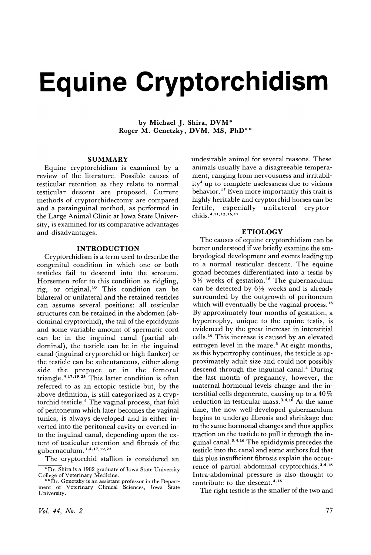# **Equine Cryptorchidism**

by Michael J. Shira, DVM\* Roger M. Genetzky, DVM, MS, PhD\*\*

# SUMMARY

Equine cryptorchidism is examined by a review of the literature. Possible causes of testicular retention as they relate to normal testicular descent are proposed. Current methods of cryptorchidectomy are compared and a parainguinal method, as performed in the Large Animal Clinic at Iowa State University, is examined for its comparative advantages and disadvantages.

#### INTRODUCTION

Cryptorchidism is a term used to describe the congenital condition in which one or both testicles fail to descend into the scrotum. Horsemen refer to this condition as ridgling, rig, or original. <sup>10</sup> This condition can be bilateral or unilateral and the retained testicles can assume several positions: all testicular structures can be retained in the abdomen (abdominal cryptorchid), the tail of the epididymis and some variable amount of spermatic cord can be in the inguinal canal (partial abdominal), the testicle can be in the inguinal canal (inguinal cryptorchid or high flanker) or the testicle can be subcutaneous, either along side the prepuce or in the femoral triangle.<sup>4,17,19,25</sup> This latter condition is often referred to as an ectopic testicle but, by the above definition, is still categorized as a cryptorchid testicle. <sup>4</sup> The vaginal process, that fold of peritoneum which later becomes the vaginal tunics, is always developed and is either inverted into the peritoneal cavity or everted into the inguinal canal, depending upon the extent of testicular retention and fibrosis of the gubernaculum. 1,4,17,19,22

The cryptorchid stallion is considered an

undesirable animal for several reasons. These animals usually have a disagreeable temperament, ranging from nervousness and irritability4 up to complete uselessness due to vicious behavior.<sup>17</sup> Even more importantly this trait is highly heritable and cryptorchid horses can be fertile, especially unilateral cryptorchids. 4, 11, 12, 16, 17

#### ETIOLOGY

The causes of equine cryptorchidism can be better understood if we briefly examine the embryological development and events leading up to a normal testicular descent. The equine gonad becomes differentiated into a testis by  $5\frac{1}{2}$  weeks of gestation.<sup>16</sup> The gubernaculum can be detected by  $6\frac{1}{2}$  weeks and is already surrounded by the outgrowth of peritoneum which will eventually be the vaginal process.<sup>16</sup> By approximately four months of gestation, a hypertrophy, unique to the equine testis, is evidenced by the great increase in interstitial cells. <sup>16</sup> This increase is caused by an elevated estrogen level in the mare.<sup>3</sup> At eight months, as this hypertrophy continues, the testicle is approximately adult size and could not possibly descend through the inguinal canal.<sup>4</sup> During the last month of pregnancy, however, the maternal hormonal levels change and the interstitial cells degenerate, causing up to a 40 % reduction in testicular mass.<sup>3,4,16</sup> At the same time, the now well-developed gubernaculum begins to undergo fibrosis and shrinkage due to the same hormonal changes and thus applies traction on the testicle to pull it through the inguinal canal. 3,4, <sup>16</sup> The epididymis precedes the testicle into the canal and some authors feel that this plus insufficient fibrosis explain the occurrence of partial abdominal cryptorchids.<sup>3,4,16</sup> Intra-abdominal pressure is also thought to contribute to the descent.<sup>4,16</sup>

The right testicle is the smaller of the two and

<sup>\*</sup> Dr. Shira is a 1982 graduate of Iowa State University

College of Veterinary Medicine. \*\*Dr. Genetzky is an assistant professor in the Department of Veterinary Clinical Sciences, Iowa State University.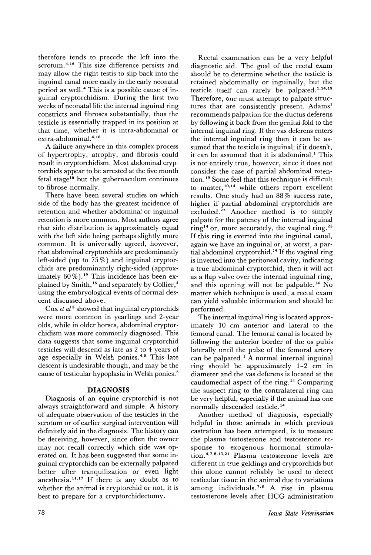therefore tends to precede the left into the scrotum.<sup>4,16</sup> This size difference persists and may allow the right testis to slip back into the inguinal canal more easily in the early neonatal period as well. 4 This is a possible cause of inguinal cryptorchidism. During the first two weeks of neonatal life the internal inguinal ring constricts and fibroses substantially, thus the testicle is essentially trapped in its position at that time, whether it is intra-abdominal or extra-abdominal.<sup>4,16</sup>

A failure anywhere in this complex process of hypertrophy, atrophy, and fibrosis could result in cryptorchidism. Most abdominal cryptorchids appear to be arrested at the five month fetal stage<sup>16</sup> but the gubernaculum continues to fibrose normally.

There have been several studies on which side of the body has the greatest incidence of retention and whether abdominal or inguinal retention is more common. Most authors agree that side distribution is approximately equal with the left side being perhaps slightly more common. It is universally agreed, however, that abdominal cryptorchids are predominantly left-sided (up to 75 %) and inguinal cryptorchids are predominantly right-sided (approximately  $60\%$ ).<sup>19</sup> This incidence has been explained by Smith,<sup>16</sup> and separately by Collier,<sup>4</sup> using the embryological events of normal descent discussed above.

Cox *et al <sup>5</sup>* showed that inguinal cryptorchids were more common in yearlings and 2-year olds, while in older horses, abdominal cryptorchidism was more commonly diagnosed. This data suggests that some inguinal cryptorchid testicles will descend as late as 2 to 4 years of age especially in Welsh ponies.<sup>4,5</sup> This late descent is undesirable though, and may be the cause of testicular hypoplasia in Welsh ponies.5

# **DIAGNOSIS**

Diagnosis of an equine cryptorchid is not always straightforward and simple. A history of adequate observation of the testicles in the scrotum or of earlier surgical intervention will definitely aid in the diagnosis. The history can be deceiving, however, since often the owner may not recall correctly which side was operated on. It has been suggested that some inguinal cryptorchids can be externally palpated better after tranquilization or even light anesthesia.<sup>11,17</sup> If there is any doubt as to whether the animal is cryptorchid or not, it is best to prepare for a cryptorchidectomy.

Rectal examination can be a very helpful diagnostic aid. The goal of the rectal exam should be to determine whether the testicle is retained abdominally or inguinally, but the testicle itself can rarely be palpated. 1,14,19 Therefore, one must attempt to palpate structures that are consistently present. Adams<sup>1</sup> recommends palpation for the ductus deferens by following it back from the genital fold to the internal inguinal ring. If the vas deferens enters the internal inguinal ring then it can be assumed that the testicle is inguinal; if it doesn't, it can be assumed that it is abdominal.<sup>1</sup> This is not entirely true, however, since it does not consider the case of partial abdominal retention. <sup>19</sup> Some feel that this technique is difficult to master, 10,14 while others report excellent results. One study had an 88 % success rate, higher if partial abdominal cryptorchids are excluded.<sup>22</sup> Another method is to simply palpate for the patency of the internal inguinal ring<sup>14</sup> or, more accurately, the vaginal ring.<sup>25</sup> If this ring is everted into the inguinal canal, again we have an inguinal or, at worst, a partial abdominal cryptorchid.<sup>14</sup> If the vaginal ring is inverted into the peritoneal cavity, indicating a true abdominal cryptorchid, then it will act as a flap valve over the internal inguinal ring, and this opening will not be palpable. <sup>14</sup> No matter which technique is used, a rectal exam can yield valuable information and should be performed.

The internal inguinal ring is located approximately 10 cm anterior and lateral to the femoral canal. The femoral canal is located by following the anterior border of the os pubis laterally until the pulse of the femoral artery can be palpated.<sup>1</sup> A normal internal inguinal ring should be approximately 1-2 cm in diameter and the vas deferens is located at the caudomedial aspect of the ring. <sup>14</sup> Comparing the suspect ring to the contralateral ring can be very helpful, especially if the animal has one normally descended testicle. <sup>14</sup>

Another method of diagnosis, especially helpful in those animals in which previous castration has been attempted, is to measure the plasma testosterone and testosterone response to exogenous hormonal stimulation. 4,7,8,13,21 Plasma testosterone levels are different in true geldings and cryptorchids but this alone cannot reliably be used to detect testicular tissue in the animal due to variations among individuals. 7,8 A rise in plasma testosterone levels after RCG administration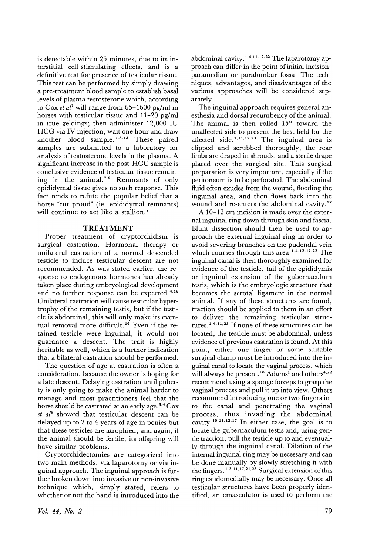is detectable within 25 minutes, due to its interstitial cell-stimulating effects, and is a definitive test for presence of testicular tissue. This test can be performed by simply drawing a pre-treatment blood sample to establish basal levels of plasma testosterone which, according to Cox *et al'* will range from 65-1600 pg/ml in horses with testicular tissue and 11-20 pg/ml in true geldings; then administer 12,000 IV HCG via IV injection, wait one hour and draw another blood sample. 7,8,13 These paired samples are submitted to a laboratory for analysis of testosterone levels in the plasma. A significant increase in the post-HCG sample is conclusive evidence of testicular tissue remaining in the animal. 7,8 Remnants of only epididymal tissue gives no such response. This fact tends to refute the popular belief that a horse "cut proud" (ie. epididymal remnants) will continue to act like a stallion.<sup>8</sup>

# **TREATMENT**

Proper treatment of cryptorchidism is surgical castration. Hormonal therapy or unilateral castration of a normal descended testicle to induce testicular descent are not recommended. As was stated earlier, the response to endogenous hormones has already taken place during embryological development and no further response can be expected. 4,16 Unilateral castration will cause testicular hypertrophy of the remaining testis, but if the testicle is abdominal, this will only make its eventual removal more difficult. <sup>16</sup> Even if the retained testicle were inguinal, it would not guarantee a descent. The trait is highly heritable as well, which is a further indication that a bilateral castration should be performed.

The question of age at castration is often a consideration, because the owner is hoping for a late descent. Delaying castration until puberty is only going to make the animal harder to manage and most practitioners feel that the horse should be castrated at an early age.<sup>3,4</sup> Cox *et als* showed that testicular descent can be delayed up to 2 to 4 years of age in ponies but that these testicles are atrophied, and again, if the animal should be fertile, its offspring will have similar problems.

Cryptorchidectomies are categorized into two main methods: via laparotomy or via inguinal approach. The inguinal approach is further broken down into invasive or non-invasive technique which, simply stated, refers to whether or not the hand is introduced into the

abdominal cavity.<sup>1,4,11,12,22</sup> The laparotomy approach can differ in the point of initial incision: paramedian or paralumbar fossa. The techniques, advantages, and disadvantages of the various approaches will be considered separately.

The inguinal approach requires general anesthesia and dorsal recumbency of the animal. The animal is then rolled  $15^{\circ}$  toward the unaffected side to present the best field for the affected side.<sup>1,11,17,23</sup> The inguinal area is clipped and scrubbed thoroughly, the rear limbs are draped in shrouds, and a sterile drape placed over the surgical site. This surgical preparation is very important, especially if the peritoneum is to be perforated. The abdominal fluid often exudes from the wound, flooding the inguinal area, and then flows back into the wound and re-enters the abdominal cavity.<sup>17</sup>

A 10-12 cm incision is made over the external inguinal ring down through skin and fascia. Blunt dissection should then be used to approach the external inguinal ring in order to avoid severing branches on the pudendal vein which courses through this area.<sup>1,4,12,17,22</sup> The inguinal canal is then thoroughly examined for evidence of the testicle, tail of the epididymis or inguinal extension of the gubernaculum testis, which is the embryologic structure that becomes the scrotal ligament in the normal animal. If any of these structures are found, traction should be applied to them in an effort to deliver the remaining testicular structures.1,4,11,23 If none of these structures can be located, the testicle must be abdominal, unless evidence of previous castration is found. At this point, either one finger or some suitable surgical clamp must be introduced into the inguinal canal to locate the vaginal process, which will always be present.<sup>16</sup> Adams<sup>1</sup> and others<sup>4,22</sup> recommend using a sponge forceps to grasp the vaginal process and pull it up into view. Others recommend introducing one or two fingers into the canal and penetrating the vaginal process, thus invading the abdominal cavity.10,11,12,17 In either case, the goal is to locate the gubernaculum testis and, using gentle traction, pull the testicle up to and eventually through the inguinal canal. Dilation of the internal inguinal ring may be necessary and can be done manually by slowly stretching it with the fingers.<sup>1,3,11,17,21,23</sup> Surgical extension of this ring caudomedially may be necessary. Once all testicular structures have been properly identified, an emasculator is used to perform the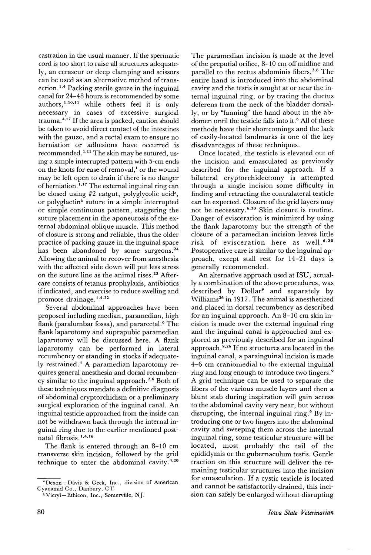castration in the usual manner. If the spermatic cord is too short to raise all structures adequately, an ecraseur or deep clamping and scissors can be used as an alternative method of transection.1,4 Packing sterile gauze in the inguinal canal for 24-48 hours is recommended by some authors,1,10,11 while others feel it is only necessary in cases of excessive surgical trauma. $4,17$  If the area is packed, caution should be taken to avoid direct contact of the intestines with the gauze, and a rectal exam to ensure no herniation or adhesions have occurred is recommended. 1,11 The skin may be sutured, using a simple interrupted pattern with 5-cm ends on the knots for ease of removal,<sup>1</sup> or the wound may be left open to drain if there is no danger of herniation.<sup>1,17</sup> The external inguinal ring can be closed using  $#2$  catgut, polyglycolic acid<sup>a</sup>, or polyglactin<sup>b</sup> suture in a simple interrupted or simple continuous pattern, staggering the suture placement in the aponeurosis of the external abdominal oblique muscle. This method of closure is strong and reliable, thus the older practice of packing gauze in the inguinal space has been abandoned by some surgeons.<sup>24</sup> Allowing the animal to recover from anesthesia with the affected side down will put less stress on the suture line as the animal rises. <sup>23</sup> Aftercare consists of tetanus prophylaxis, antibiotics if indicated, and exercise to reduce swelling and promote drainage.<sup>1,4,22</sup>

Several abdominal approaches have been proposed including median, paramedian, high flank (paralumbar fossa), and pararectal.<sup>6</sup> The flank laparotomy and suprapubic paramedian laparotomy will be discussed here. A flank laparotomy can be performed in lateral recumbency or standing in stocks if adequately restrained.<sup>4</sup> A paramedian laparotomy requires general anesthesia and dorsal recumbency similar to the inguinal approach.2,6 Both of these techniques mandate a definitive diagnosis of abdominal cryptorchidism or a preliminary surgical exploration of the inguinal canal. An inguinal testicle approached from the inside can not be withdrawn back through the internal inguinal ring due to the earlier mentioned postnatal fibrosis.<sup>1,4,16</sup>

The flank is entered through an 8-10 em transverse skin incision, followed by the grid technique to enter the abdominal cavity. 4,20

<sup>a</sup> Dexon - Davis & Geck, Inc., division of American Cyanamid Co., Danbury, CT.

The paramedian incision is made at the level of the preputial orifice, 8-10 em off midline and parallel to the rectus abdominis fibers,<sup>2,6</sup> The entire hand is introduced into the abdominal cavity and the testis is sought at or near the internal inguinal ring, or by tracing the ductus deferens from the neck of the bladder dorsally, or by "fanning" the hand about in the abdomen until the testicle falls into it.<sup>6</sup> All of these methods have their shortcomings and the lack of easily-located landmarks is one of the key disadvantages of these techniques.

Once located, the testicle is elevated out of the incision and emasculated as previously described for the inguinal approach. If a bilateral cryptorchidectomy is attempted through a single incision some difficulty in finding and retracting the contralateral testicle can be expected. Closure of the grid layers may not be necessary. 6,20 Skin closure is routine. Danger of evisceration is minimized by using the flank laparotomy but the strength of the closure of a paramedian incision leaves little risk of evisceration here as well. 6,20 Postoperative care is similar to the inguinal approach, except stall rest for 14-21 days is generally recommended.

An alternative approach used at lSD, actually a combination of the above procedures, was described by Dollar<sup>9</sup> and separately by Williams<sup>26</sup> in 1912. The animal is anesthetized and placed in dorsal recumbency as described for an inguinal approach. An 8-10 cm skin incision is made over the external inguinal ring and the inguinal canal is approached and explored as previously described for an inguinal approach.<sup>9,26</sup> If no structures are located in the inguinal canal, a parainguinal incision is made 4-6 cm craniomedial tu the external inguinal ring and long enough to introduce two fingers. <sup>9</sup> A grid technique can be used to separate the fibers of the various muscle layers and then a blunt stab during inspiration will gain access to the abdominal cavity very near, but without disrupting, the internal inguinal ring. <sup>9</sup> By introducing one or two fingers into the abdominal cavity and sweeping them across the internal inguinal ring, some testicular structure will be located, most probably the tail of the epididymis or the gubernaculum testis. Gentle traction on this structure will deliver the remaining testicular structures into the incision for emasculation. If a cystic testicle is located and cannot be satisfactorily drained, this incision can safely be enlarged without disrupting

bVicryl-Ethicon, Inc., Somerville, NJ.